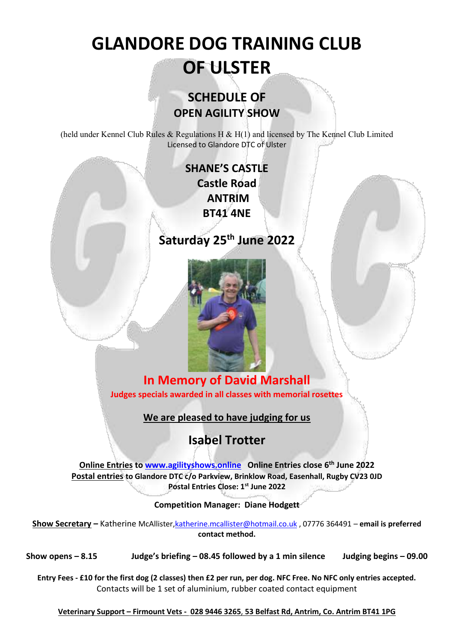# **GLANDORE DOG TRAINING CLUB OF ULSTER**

# **SCHEDULE OF OPEN AGILITY SHOW**

(held under Kennel Club Rules & Regulations H & H(1) and licensed by The Kennel Club Limited Licensed to Glandore DTC of Ulster

### **SHANE'S CASTLE Castle Road ANTRIM BT41 4NE**

### **Saturday 25th June 2022**



### **In Memory of David Marshall Judges specials awarded in all classes with memorial rosettes**

### **We are pleased to have judging for us**

# **Isabel Trotter**

**Online Entries to [www.agilityshows.online](http://www.agilityshows.online/) Online Entries close 6 th June 2022 Postal entries to Glandore DTC c/o Parkview, Brinklow Road, Easenhall, Rugby CV23 0JD Postal Entries Close: 1st June 2022**

**Competition Manager: Diane Hodgett**

**Show Secretary –** Katherine McAllister[,katherine.mcallister@hotmail.co.uk](mailto:katherine.mcallister@hotmail.co.uk) , 07776 364491 – **email is preferred contact method.** 

**Show opens – 8.15 Judge's briefing – 08.45 followed by a 1 min silence Judging begins – 09.00**

**Entry Fees - £10 for the first dog (2 classes) then £2 per run, per dog. NFC Free. No NFC only entries accepted.** Contacts will be 1 set of aluminium, rubber coated contact equipment

**Veterinary Support – Firmount Vets - 028 9446 3265**, **53 Belfast Rd, Antrim, Co. Antrim BT41 1PG**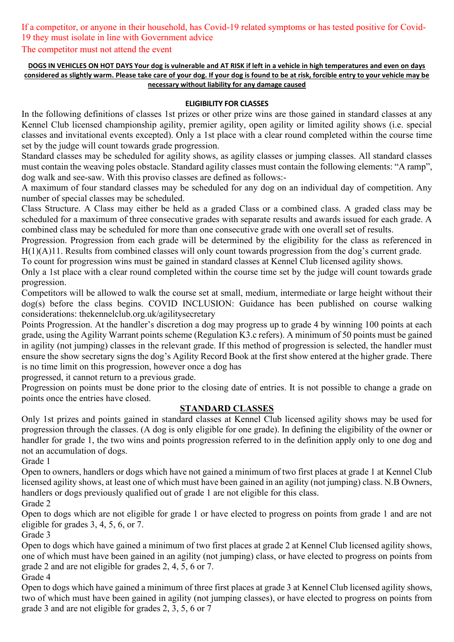### If a competitor, or anyone in their household, has Covid-19 related symptoms or has tested positive for Covid-19 they must isolate in line with Government advice

#### The competitor must not attend the event

#### **DOGS IN VEHICLES ON HOT DAYS Your dog is vulnerable and AT RISK if left in a vehicle in high temperatures and even on days considered as slightly warm. Please take care of your dog. If your dog is found to be at risk, forcible entry to your vehicle may be necessary without liability for any damage caused**

#### **ELIGIBILITY FOR CLASSES**

In the following definitions of classes 1st prizes or other prize wins are those gained in standard classes at any Kennel Club licensed championship agility, premier agility, open agility or limited agility shows (i.e. special classes and invitational events excepted). Only a 1st place with a clear round completed within the course time set by the judge will count towards grade progression.

Standard classes may be scheduled for agility shows, as agility classes or jumping classes. All standard classes must contain the weaving poles obstacle. Standard agility classes must contain the following elements: "A ramp", dog walk and see-saw. With this proviso classes are defined as follows:-

A maximum of four standard classes may be scheduled for any dog on an individual day of competition. Any number of special classes may be scheduled.

Class Structure. A Class may either be held as a graded Class or a combined class. A graded class may be scheduled for a maximum of three consecutive grades with separate results and awards issued for each grade. A combined class may be scheduled for more than one consecutive grade with one overall set of results.

Progression. Progression from each grade will be determined by the eligibility for the class as referenced in H(1)(A)11. Results from combined classes will only count towards progression from the dog's current grade.

To count for progression wins must be gained in standard classes at Kennel Club licensed agility shows.

Only a 1st place with a clear round completed within the course time set by the judge will count towards grade progression.

Competitors will be allowed to walk the course set at small, medium, intermediate or large height without their dog(s) before the class begins. COVID INCLUSION: Guidance has been published on course walking considerations: thekennelclub.org.uk/agilitysecretary

Points Progression. At the handler's discretion a dog may progress up to grade 4 by winning 100 points at each grade, using the Agility Warrant points scheme (Regulation K3.c refers). A minimum of 50 points must be gained in agility (not jumping) classes in the relevant grade. If this method of progression is selected, the handler must ensure the show secretary signs the dog's Agility Record Book at the first show entered at the higher grade. There is no time limit on this progression, however once a dog has

progressed, it cannot return to a previous grade.

Progression on points must be done prior to the closing date of entries. It is not possible to change a grade on points once the entries have closed.

#### **STANDARD CLASSES**

Only 1st prizes and points gained in standard classes at Kennel Club licensed agility shows may be used for progression through the classes. (A dog is only eligible for one grade). In defining the eligibility of the owner or handler for grade 1, the two wins and points progression referred to in the definition apply only to one dog and not an accumulation of dogs.

Grade 1

Open to owners, handlers or dogs which have not gained a minimum of two first places at grade 1 at Kennel Club licensed agility shows, at least one of which must have been gained in an agility (not jumping) class. N.B Owners, handlers or dogs previously qualified out of grade 1 are not eligible for this class.

Grade 2

Open to dogs which are not eligible for grade 1 or have elected to progress on points from grade 1 and are not eligible for grades 3, 4, 5, 6, or 7.

Grade 3

Open to dogs which have gained a minimum of two first places at grade 2 at Kennel Club licensed agility shows, one of which must have been gained in an agility (not jumping) class, or have elected to progress on points from grade 2 and are not eligible for grades 2, 4, 5, 6 or 7.

Grade 4

Open to dogs which have gained a minimum of three first places at grade 3 at Kennel Club licensed agility shows, two of which must have been gained in agility (not jumping classes), or have elected to progress on points from grade 3 and are not eligible for grades 2, 3, 5, 6 or 7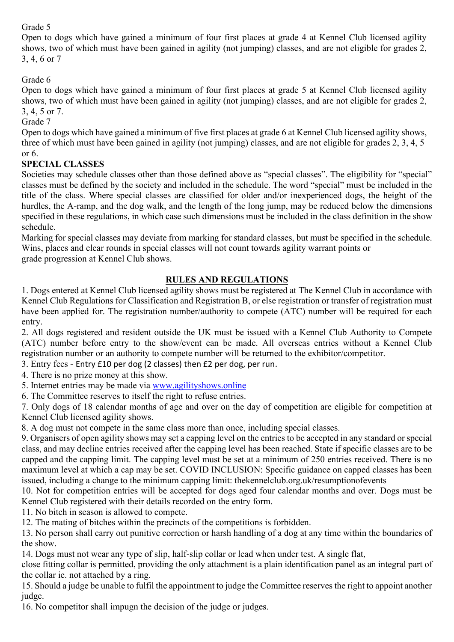#### Grade 5

Open to dogs which have gained a minimum of four first places at grade 4 at Kennel Club licensed agility shows, two of which must have been gained in agility (not jumping) classes, and are not eligible for grades 2, 3, 4, 6 or 7

#### Grade 6

Open to dogs which have gained a minimum of four first places at grade 5 at Kennel Club licensed agility shows, two of which must have been gained in agility (not jumping) classes, and are not eligible for grades 2, 3, 4, 5 or 7.

Grade 7

Open to dogs which have gained a minimum of five first places at grade 6 at Kennel Club licensed agility shows, three of which must have been gained in agility (not jumping) classes, and are not eligible for grades 2, 3, 4, 5 or 6.

#### **SPECIAL CLASSES**

Societies may schedule classes other than those defined above as "special classes". The eligibility for "special" classes must be defined by the society and included in the schedule. The word "special" must be included in the title of the class. Where special classes are classified for older and/or inexperienced dogs, the height of the hurdles, the A-ramp, and the dog walk, and the length of the long jump, may be reduced below the dimensions specified in these regulations, in which case such dimensions must be included in the class definition in the show schedule.

Marking for special classes may deviate from marking for standard classes, but must be specified in the schedule. Wins, places and clear rounds in special classes will not count towards agility warrant points or grade progression at Kennel Club shows.

#### **RULES AND REGULATIONS**

1. Dogs entered at Kennel Club licensed agility shows must be registered at The Kennel Club in accordance with Kennel Club Regulations for Classification and Registration B, or else registration or transfer of registration must have been applied for. The registration number/authority to compete (ATC) number will be required for each entry.

2. All dogs registered and resident outside the UK must be issued with a Kennel Club Authority to Compete (ATC) number before entry to the show/event can be made. All overseas entries without a Kennel Club registration number or an authority to compete number will be returned to the exhibitor/competitor.

3. Entry fees - Entry £10 per dog (2 classes) then £2 per dog, per run.

4. There is no prize money at this show.

5. Internet entries may be made via [www.agilityshows.online](http://www.agilityshows.online/)

6. The Committee reserves to itself the right to refuse entries.

7. Only dogs of 18 calendar months of age and over on the day of competition are eligible for competition at Kennel Club licensed agility shows.

8. A dog must not compete in the same class more than once, including special classes.

9. Organisers of open agility shows may set a capping level on the entries to be accepted in any standard or special class, and may decline entries received after the capping level has been reached. State if specific classes are to be capped and the capping limit. The capping level must be set at a minimum of 250 entries received. There is no maximum level at which a cap may be set. COVID INCLUSION: Specific guidance on capped classes has been issued, including a change to the minimum capping limit: thekennelclub.org.uk/resumptionofevents

10. Not for competition entries will be accepted for dogs aged four calendar months and over. Dogs must be Kennel Club registered with their details recorded on the entry form.

11. No bitch in season is allowed to compete.

12. The mating of bitches within the precincts of the competitions is forbidden.

13. No person shall carry out punitive correction or harsh handling of a dog at any time within the boundaries of the show.

14. Dogs must not wear any type of slip, half-slip collar or lead when under test. A single flat,

close fitting collar is permitted, providing the only attachment is a plain identification panel as an integral part of the collar ie. not attached by a ring.

15. Should a judge be unable to fulfil the appointment to judge the Committee reserves the right to appoint another judge.

16. No competitor shall impugn the decision of the judge or judges.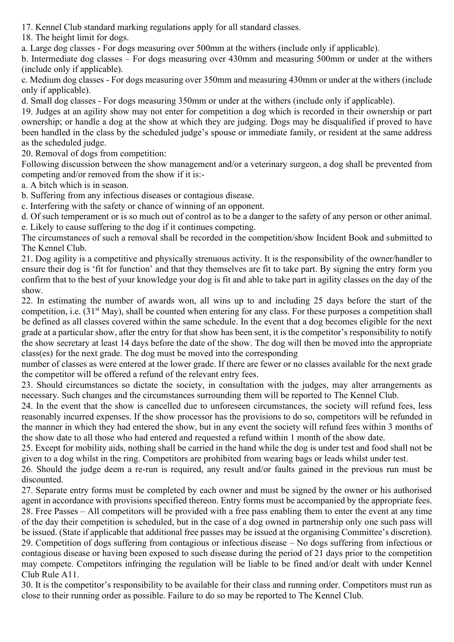17. Kennel Club standard marking regulations apply for all standard classes.

18. The height limit for dogs.

a. Large dog classes - For dogs measuring over 500mm at the withers (include only if applicable).

b. Intermediate dog classes – For dogs measuring over 430mm and measuring 500mm or under at the withers (include only if applicable).

c. Medium dog classes - For dogs measuring over 350mm and measuring 430mm or under at the withers (include only if applicable).

d. Small dog classes - For dogs measuring 350mm or under at the withers (include only if applicable).

19. Judges at an agility show may not enter for competition a dog which is recorded in their ownership or part ownership; or handle a dog at the show at which they are judging. Dogs may be disqualified if proved to have been handled in the class by the scheduled judge's spouse or immediate family, or resident at the same address as the scheduled judge.

20. Removal of dogs from competition:

Following discussion between the show management and/or a veterinary surgeon, a dog shall be prevented from competing and/or removed from the show if it is:-

a. A bitch which is in season.

b. Suffering from any infectious diseases or contagious disease.

c. Interfering with the safety or chance of winning of an opponent.

d. Of such temperament or is so much out of control as to be a danger to the safety of any person or other animal. e. Likely to cause suffering to the dog if it continues competing.

The circumstances of such a removal shall be recorded in the competition/show Incident Book and submitted to The Kennel Club.

21. Dog agility is a competitive and physically strenuous activity. It is the responsibility of the owner/handler to ensure their dog is 'fit for function' and that they themselves are fit to take part. By signing the entry form you confirm that to the best of your knowledge your dog is fit and able to take part in agility classes on the day of the show.

22. In estimating the number of awards won, all wins up to and including 25 days before the start of the competition, i.e. (31<sup>st</sup> May), shall be counted when entering for any class. For these purposes a competition shall be defined as all classes covered within the same schedule. In the event that a dog becomes eligible for the next grade at a particular show, after the entry for that show has been sent, it is the competitor's responsibility to notify the show secretary at least 14 days before the date of the show. The dog will then be moved into the appropriate class(es) for the next grade. The dog must be moved into the corresponding

number of classes as were entered at the lower grade. If there are fewer or no classes available for the next grade the competitor will be offered a refund of the relevant entry fees.

23. Should circumstances so dictate the society, in consultation with the judges, may alter arrangements as necessary. Such changes and the circumstances surrounding them will be reported to The Kennel Club.

24. In the event that the show is cancelled due to unforeseen circumstances, the society will refund fees, less reasonably incurred expenses. If the show processor has the provisions to do so, competitors will be refunded in the manner in which they had entered the show, but in any event the society will refund fees within 3 months of the show date to all those who had entered and requested a refund within 1 month of the show date.

25. Except for mobility aids, nothing shall be carried in the hand while the dog is under test and food shall not be given to a dog whilst in the ring. Competitors are prohibited from wearing bags or leads whilst under test.

26. Should the judge deem a re-run is required, any result and/or faults gained in the previous run must be discounted.

27. Separate entry forms must be completed by each owner and must be signed by the owner or his authorised agent in accordance with provisions specified thereon. Entry forms must be accompanied by the appropriate fees. 28. Free Passes – All competitors will be provided with a free pass enabling them to enter the event at any time of the day their competition is scheduled, but in the case of a dog owned in partnership only one such pass will be issued. (State if applicable that additional free passes may be issued at the organising Committee's discretion). 29. Competition of dogs suffering from contagious or infectious disease – No dogs suffering from infectious or contagious disease or having been exposed to such disease during the period of 21 days prior to the competition may compete. Competitors infringing the regulation will be liable to be fined and/or dealt with under Kennel Club Rule A11.

30. It is the competitor's responsibility to be available for their class and running order. Competitors must run as close to their running order as possible. Failure to do so may be reported to The Kennel Club.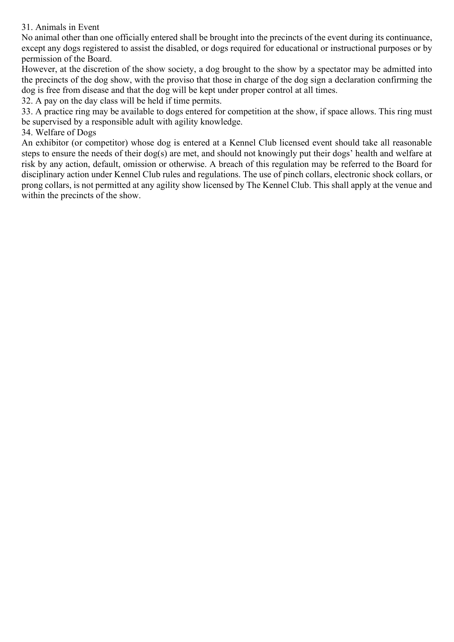#### 31. Animals in Event

No animal other than one officially entered shall be brought into the precincts of the event during its continuance, except any dogs registered to assist the disabled, or dogs required for educational or instructional purposes or by permission of the Board.

However, at the discretion of the show society, a dog brought to the show by a spectator may be admitted into the precincts of the dog show, with the proviso that those in charge of the dog sign a declaration confirming the dog is free from disease and that the dog will be kept under proper control at all times.

32. A pay on the day class will be held if time permits.

33. A practice ring may be available to dogs entered for competition at the show, if space allows. This ring must be supervised by a responsible adult with agility knowledge.

#### 34. Welfare of Dogs

An exhibitor (or competitor) whose dog is entered at a Kennel Club licensed event should take all reasonable steps to ensure the needs of their dog(s) are met, and should not knowingly put their dogs' health and welfare at risk by any action, default, omission or otherwise. A breach of this regulation may be referred to the Board for disciplinary action under Kennel Club rules and regulations. The use of pinch collars, electronic shock collars, or prong collars, is not permitted at any agility show licensed by The Kennel Club. This shall apply at the venue and within the precincts of the show.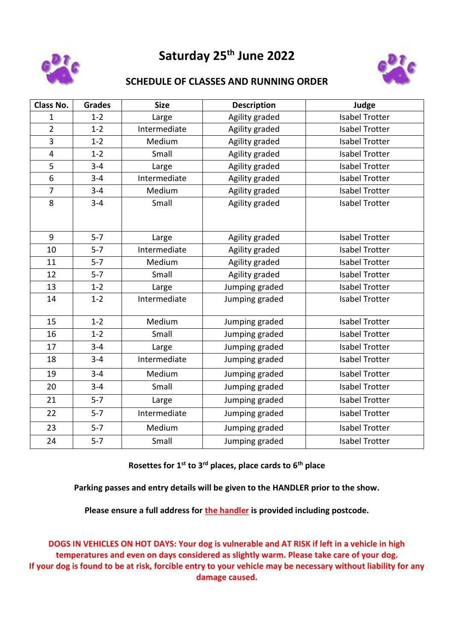

# **Saturday 25th June 2022**



#### **SCHEDULE OF CLASSES AND RUNNING ORDER**

| <b>Class No.</b>        | <b>Grades</b> | <b>Size</b>  | <b>Description</b> | Judge                 |  |  |
|-------------------------|---------------|--------------|--------------------|-----------------------|--|--|
| 1                       | $1 - 2$       | Large        | Agility graded     | <b>Isabel Trotter</b> |  |  |
| $\overline{2}$          | $1 - 2$       | Intermediate | Agility graded     | <b>Isabel Trotter</b> |  |  |
| 3                       | $1 - 2$       | Medium       | Agility graded     | <b>Isabel Trotter</b> |  |  |
| $\overline{\mathbf{4}}$ | $1 - 2$       | Small        | Agility graded     | <b>Isabel Trotter</b> |  |  |
| 5                       | $3 - 4$       | Large        | Agility graded     | <b>Isabel Trotter</b> |  |  |
| $\overline{6}$          | $3 - 4$       | Intermediate | Agility graded     | <b>Isabel Trotter</b> |  |  |
| $\overline{7}$          | $3 - 4$       | Medium       | Agility graded     | <b>Isabel Trotter</b> |  |  |
| 8                       | $3 - 4$       | Small        | Agility graded     | <b>Isabel Trotter</b> |  |  |
| 9                       | $5 - 7$       | Large        | Agility graded     | <b>Isabel Trotter</b> |  |  |
| 10                      | $5 - 7$       | Intermediate | Agility graded     | <b>Isabel Trotter</b> |  |  |
| 11                      | $5 - 7$       | Medium       | Agility graded     | <b>Isabel Trotter</b> |  |  |
| 12                      | $5 - 7$       | Small        | Agility graded     | <b>Isabel Trotter</b> |  |  |
| 13                      | $1 - 2$       | Large        | Jumping graded     | <b>Isabel Trotter</b> |  |  |
| 14                      | $1 - 2$       | Intermediate | Jumping graded     | <b>Isabel Trotter</b> |  |  |
| 15                      | $1 - 2$       | Medium       | Jumping graded     | <b>Isabel Trotter</b> |  |  |
| 16                      | $1 - 2$       | Small        | Jumping graded     | <b>Isabel Trotter</b> |  |  |
| 17                      | $3 - 4$       | Large        | Jumping graded     | <b>Isabel Trotter</b> |  |  |
| 18                      | $3 - 4$       | Intermediate | Jumping graded     | <b>Isabel Trotter</b> |  |  |
| 19                      | $3 - 4$       | Medium       | Jumping graded     | <b>Isabel Trotter</b> |  |  |
| 20                      | $3 - 4$       | Small        | Jumping graded     | <b>Isabel Trotter</b> |  |  |
| 21                      | $5 - 7$       | Large        | Jumping graded     | <b>Isabel Trotter</b> |  |  |
| 22                      | $5 - 7$       | Intermediate | Jumping graded     | <b>Isabel Trotter</b> |  |  |
| 23                      | $5 - 7$       | Medium       | Jumping graded     | <b>Isabel Trotter</b> |  |  |
| 24                      | $5 - 7$       | Small        | Jumping graded     | <b>Isabel Trotter</b> |  |  |

**Rosettes for 1st to 3rd places, place cards to 6th place**

**Parking passes and entry details will be given to the HANDLER prior to the show.** 

**Please ensure a full address for the handler is provided including postcode.**

**DOGS IN VEHICLES ON HOT DAYS: Your dog is vulnerable and AT RISK if left in a vehicle in high temperatures and even on days considered as slightly warm. Please take care of your dog. If your dog is found to be at risk, forcible entry to your vehicle may be necessary without liability for any damage caused.**